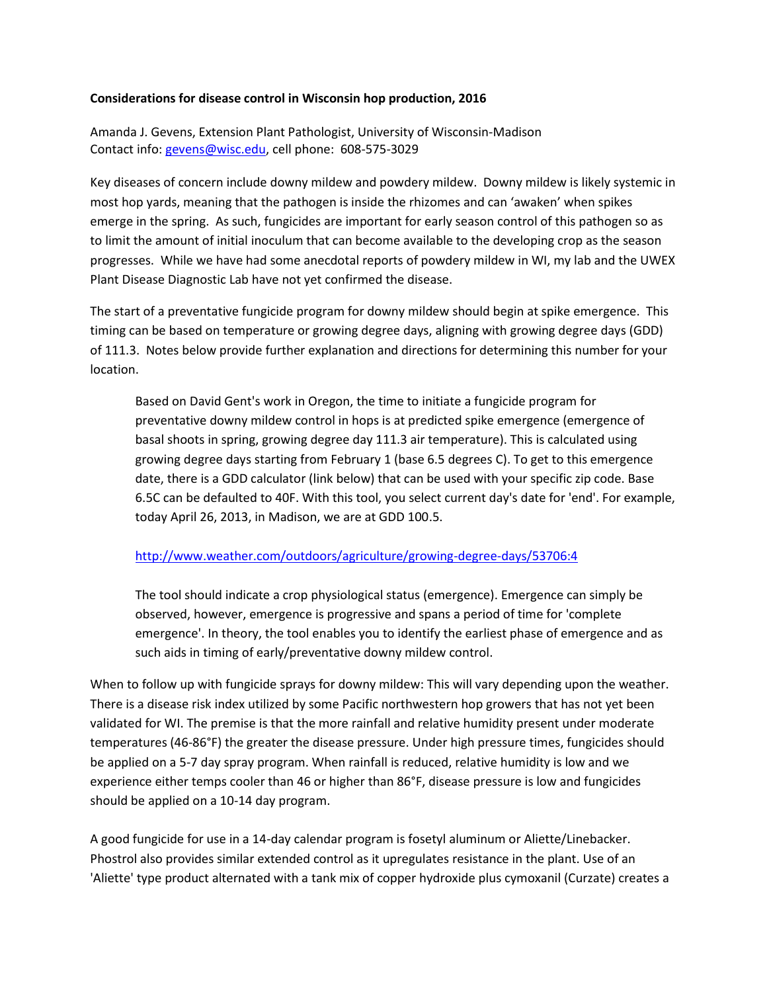## **Considerations for disease control in Wisconsin hop production, 2016**

Amanda J. Gevens, Extension Plant Pathologist, University of Wisconsin-Madison Contact info: [gevens@wisc.edu,](mailto:gevens@wisc.edu) cell phone: 608-575-3029

Key diseases of concern include downy mildew and powdery mildew. Downy mildew is likely systemic in most hop yards, meaning that the pathogen is inside the rhizomes and can 'awaken' when spikes emerge in the spring. As such, fungicides are important for early season control of this pathogen so as to limit the amount of initial inoculum that can become available to the developing crop as the season progresses. While we have had some anecdotal reports of powdery mildew in WI, my lab and the UWEX Plant Disease Diagnostic Lab have not yet confirmed the disease.

The start of a preventative fungicide program for downy mildew should begin at spike emergence. This timing can be based on temperature or growing degree days, aligning with growing degree days (GDD) of 111.3. Notes below provide further explanation and directions for determining this number for your location.

Based on David Gent's work in Oregon, the time to initiate a fungicide program for preventative downy mildew control in hops is at predicted spike emergence (emergence of basal shoots in spring, growing degree day 111.3 air temperature). This is calculated using growing degree days starting from February 1 (base 6.5 degrees C). To get to this emergence date, there is a GDD calculator (link below) that can be used with your specific zip code. Base 6.5C can be defaulted to 40F. With this tool, you select current day's date for 'end'. For example, today April 26, 2013, in Madison, we are at GDD 100.5.

## <http://www.weather.com/outdoors/agriculture/growing-degree-days/53706:4>

The tool should indicate a crop physiological status (emergence). Emergence can simply be observed, however, emergence is progressive and spans a period of time for 'complete emergence'. In theory, the tool enables you to identify the earliest phase of emergence and as such aids in timing of early/preventative downy mildew control.

When to follow up with fungicide sprays for downy mildew: This will vary depending upon the weather. There is a disease risk index utilized by some Pacific northwestern hop growers that has not yet been validated for WI. The premise is that the more rainfall and relative humidity present under moderate temperatures (46-86°F) the greater the disease pressure. Under high pressure times, fungicides should be applied on a 5-7 day spray program. When rainfall is reduced, relative humidity is low and we experience either temps cooler than 46 or higher than 86°F, disease pressure is low and fungicides should be applied on a 10-14 day program.

A good fungicide for use in a 14-day calendar program is fosetyl aluminum or Aliette/Linebacker. Phostrol also provides similar extended control as it upregulates resistance in the plant. Use of an 'Aliette' type product alternated with a tank mix of copper hydroxide plus cymoxanil (Curzate) creates a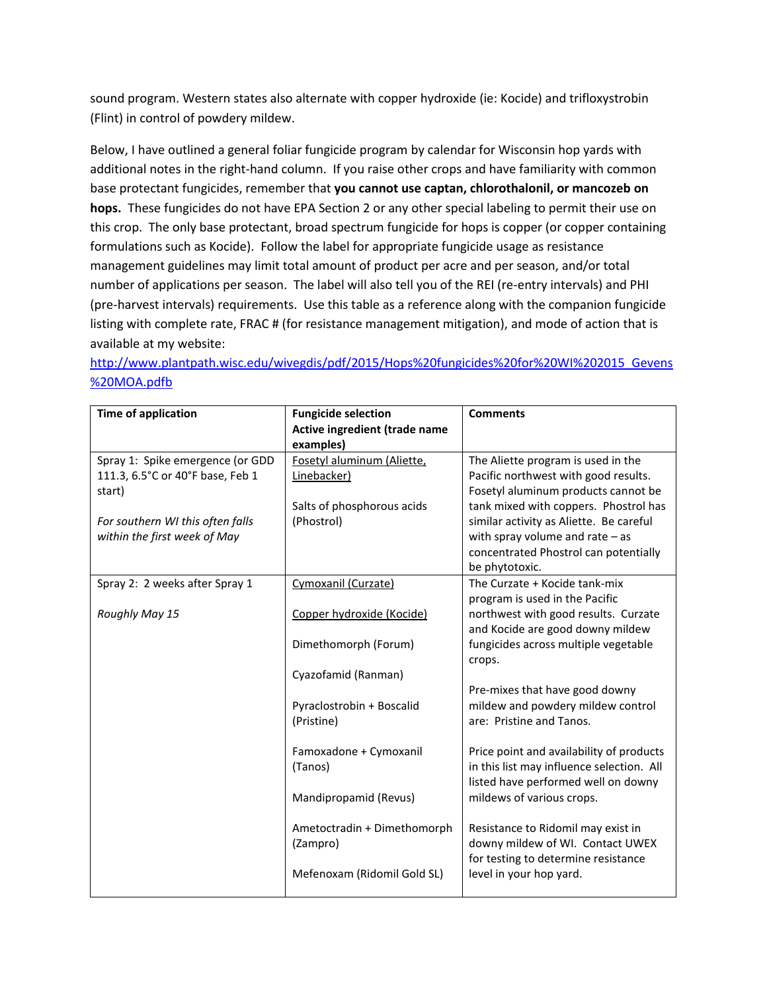sound program. Western states also alternate with copper hydroxide (ie: Kocide) and trifloxystrobin (Flint) in control of powdery mildew.

Below, I have outlined a general foliar fungicide program by calendar for Wisconsin hop yards with additional notes in the right-hand column. If you raise other crops and have familiarity with common base protectant fungicides, remember that **you cannot use captan, chlorothalonil, or mancozeb on hops.** These fungicides do not have EPA Section 2 or any other special labeling to permit their use on this crop. The only base protectant, broad spectrum fungicide for hops is copper (or copper containing formulations such as Kocide). Follow the label for appropriate fungicide usage as resistance management guidelines may limit total amount of product per acre and per season, and/or total number of applications per season. The label will also tell you of the REI (re-entry intervals) and PHI (pre-harvest intervals) requirements. Use this table as a reference along with the companion fungicide listing with complete rate, FRAC # (for resistance management mitigation), and mode of action that is available at my website:

[http://www.plantpath.wisc.edu/wivegdis/pdf/2015/Hops%20fungicides%20for%20WI%202015\\_Gevens](http://www.plantpath.wisc.edu/wivegdis/pdf/2015/Hops%20fungicides%20for%20WI%202015_Gevens%20MOA.pdfb) [%20MOA.pdfb](http://www.plantpath.wisc.edu/wivegdis/pdf/2015/Hops%20fungicides%20for%20WI%202015_Gevens%20MOA.pdfb)

| <b>Time of application</b>       | <b>Fungicide selection</b>    | <b>Comments</b>                           |
|----------------------------------|-------------------------------|-------------------------------------------|
|                                  | Active ingredient (trade name |                                           |
|                                  | examples)                     |                                           |
| Spray 1: Spike emergence (or GDD | Fosetyl aluminum (Aliette,    | The Aliette program is used in the        |
| 111.3, 6.5°C or 40°F base, Feb 1 | Linebacker)                   | Pacific northwest with good results.      |
| start)                           |                               | Fosetyl aluminum products cannot be       |
|                                  | Salts of phosphorous acids    | tank mixed with coppers. Phostrol has     |
| For southern WI this often falls | (Phostrol)                    | similar activity as Aliette. Be careful   |
| within the first week of May     |                               | with spray volume and rate $-$ as         |
|                                  |                               | concentrated Phostrol can potentially     |
|                                  |                               | be phytotoxic.                            |
| Spray 2: 2 weeks after Spray 1   | Cymoxanil (Curzate)           | The Curzate + Kocide tank-mix             |
|                                  |                               | program is used in the Pacific            |
| Roughly May 15                   | Copper hydroxide (Kocide)     | northwest with good results. Curzate      |
|                                  |                               | and Kocide are good downy mildew          |
|                                  | Dimethomorph (Forum)          | fungicides across multiple vegetable      |
|                                  |                               | crops.                                    |
|                                  | Cyazofamid (Ranman)           |                                           |
|                                  |                               | Pre-mixes that have good downy            |
|                                  | Pyraclostrobin + Boscalid     | mildew and powdery mildew control         |
|                                  | (Pristine)                    | are: Pristine and Tanos.                  |
|                                  |                               |                                           |
|                                  | Famoxadone + Cymoxanil        | Price point and availability of products  |
|                                  | (Tanos)                       | in this list may influence selection. All |
|                                  |                               | listed have performed well on downy       |
|                                  | Mandipropamid (Revus)         | mildews of various crops.                 |
|                                  |                               |                                           |
|                                  | Ametoctradin + Dimethomorph   | Resistance to Ridomil may exist in        |
|                                  | (Zampro)                      | downy mildew of WI. Contact UWEX          |
|                                  |                               | for testing to determine resistance       |
|                                  | Mefenoxam (Ridomil Gold SL)   | level in your hop yard.                   |
|                                  |                               |                                           |
|                                  |                               |                                           |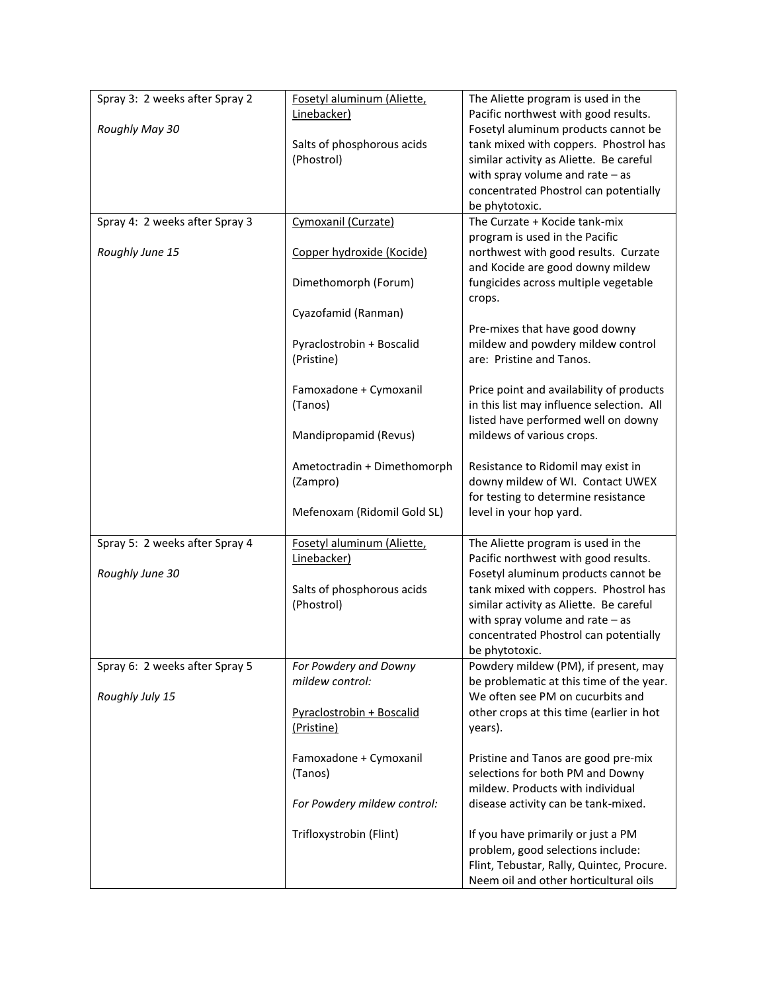| Spray 3: 2 weeks after Spray 2 | Fosetyl aluminum (Aliette,               | The Aliette program is used in the                                               |
|--------------------------------|------------------------------------------|----------------------------------------------------------------------------------|
|                                | Linebacker)                              | Pacific northwest with good results.                                             |
| Roughly May 30                 |                                          | Fosetyl aluminum products cannot be<br>tank mixed with coppers. Phostrol has     |
|                                | Salts of phosphorous acids<br>(Phostrol) | similar activity as Aliette. Be careful                                          |
|                                |                                          | with spray volume and rate $-$ as                                                |
|                                |                                          | concentrated Phostrol can potentially                                            |
|                                |                                          | be phytotoxic.                                                                   |
| Spray 4: 2 weeks after Spray 3 | Cymoxanil (Curzate)                      | The Curzate + Kocide tank-mix                                                    |
|                                |                                          | program is used in the Pacific                                                   |
| Roughly June 15                | Copper hydroxide (Kocide)                | northwest with good results. Curzate<br>and Kocide are good downy mildew         |
|                                | Dimethomorph (Forum)                     | fungicides across multiple vegetable                                             |
|                                |                                          | crops.                                                                           |
|                                | Cyazofamid (Ranman)                      |                                                                                  |
|                                |                                          | Pre-mixes that have good downy                                                   |
|                                | Pyraclostrobin + Boscalid                | mildew and powdery mildew control                                                |
|                                | (Pristine)                               | are: Pristine and Tanos.                                                         |
|                                | Famoxadone + Cymoxanil                   | Price point and availability of products                                         |
|                                | (Tanos)                                  | in this list may influence selection. All                                        |
|                                |                                          | listed have performed well on downy                                              |
|                                | Mandipropamid (Revus)                    | mildews of various crops.                                                        |
|                                |                                          |                                                                                  |
|                                | Ametoctradin + Dimethomorph              | Resistance to Ridomil may exist in                                               |
|                                | (Zampro)                                 | downy mildew of WI. Contact UWEX<br>for testing to determine resistance          |
|                                | Mefenoxam (Ridomil Gold SL)              | level in your hop yard.                                                          |
|                                |                                          |                                                                                  |
| Spray 5: 2 weeks after Spray 4 | Fosetyl aluminum (Aliette,               | The Aliette program is used in the                                               |
|                                | Linebacker)                              | Pacific northwest with good results.                                             |
| Roughly June 30                |                                          | Fosetyl aluminum products cannot be                                              |
|                                | Salts of phosphorous acids<br>(Phostrol) | tank mixed with coppers. Phostrol has<br>similar activity as Aliette. Be careful |
|                                |                                          | with spray volume and rate $-$ as                                                |
|                                |                                          | concentrated Phostrol can potentially                                            |
|                                |                                          | be phytotoxic.                                                                   |
| Spray 6: 2 weeks after Spray 5 | For Powdery and Downy                    | Powdery mildew (PM), if present, may                                             |
|                                | mildew control:                          | be problematic at this time of the year.                                         |
| Roughly July 15                |                                          | We often see PM on cucurbits and                                                 |
|                                | Pyraclostrobin + Boscalid<br>(Pristine)  | other crops at this time (earlier in hot                                         |
|                                |                                          | years).                                                                          |
|                                | Famoxadone + Cymoxanil                   | Pristine and Tanos are good pre-mix                                              |
|                                | (Tanos)                                  | selections for both PM and Downy                                                 |
|                                |                                          | mildew. Products with individual                                                 |
|                                | For Powdery mildew control:              | disease activity can be tank-mixed.                                              |
|                                |                                          |                                                                                  |
|                                | Trifloxystrobin (Flint)                  | If you have primarily or just a PM<br>problem, good selections include:          |
|                                |                                          | Flint, Tebustar, Rally, Quintec, Procure.                                        |
|                                |                                          | Neem oil and other horticultural oils                                            |